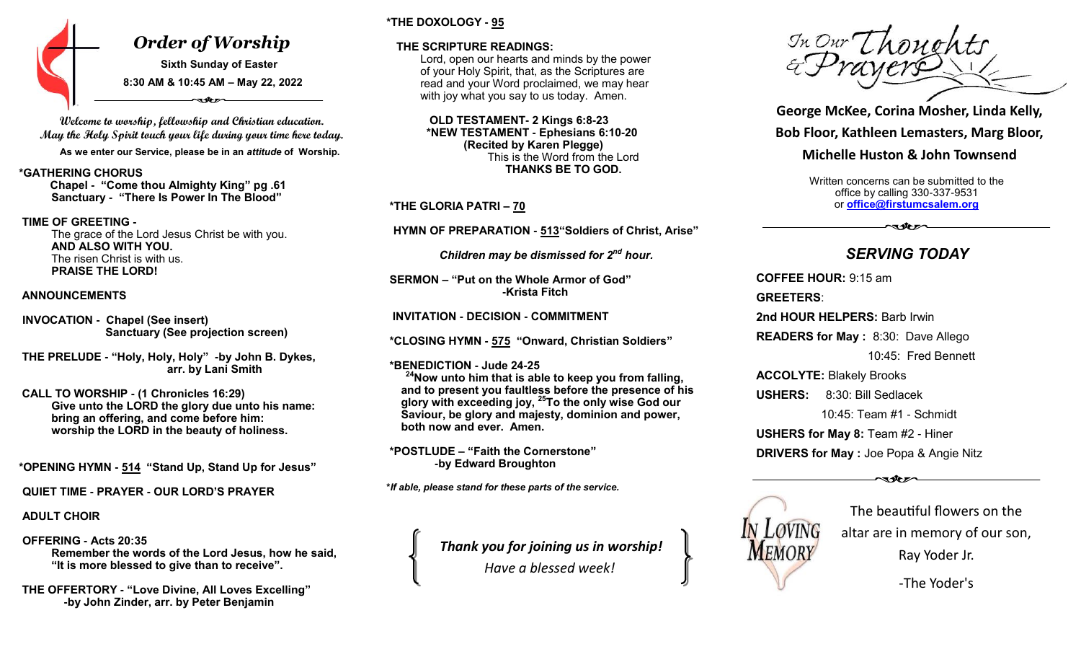

**Welcome to worship, fellowship and Christian education. May the Holy Spirit touch your life during your time here today. As we enter our Service, please be in an** *attitude* **of Worship.**

#### **\*GATHERING CHORUS**

 **Chapel - "Come thou Almighty King" pg .61 Sanctuary - "There Is Power In The Blood"**

#### **TIME OF GREETING -**

The grace of the Lord Jesus Christ be with you. **AND ALSO WITH YOU.** The risen Christ is with us. **PRAISE THE LORD!**

#### **ANNOUNCEMENTS**

**INVOCATION - Chapel (See insert) Sanctuary (See projection screen)**

 **THE PRELUDE - "Holy, Holy, Holy" -by John B. Dykes, arr. by Lani Smith** 

 **CALL TO WORSHIP - (1 Chronicles 16:29) Give unto the LORD the glory due unto his name: bring an offering, and come before him: worship the LORD in the beauty of holiness.**

 **\*OPENING HYMN - 514 "Stand Up, Stand Up for Jesus"**

**QUIET TIME - PRAYER - OUR LORD'S PRAYER**

**ADULT CHOIR**

**OFFERING - Acts 20:35 Remember the words of the Lord Jesus, how he said, "It is more blessed to give than to receive".**

 **THE OFFERTORY - "Love Divine, All Loves Excelling" -by John Zinder, arr. by Peter Benjamin**

# **\*THE DOXOLOGY - 95**

### **THE SCRIPTURE READINGS:**

Lord, open our hearts and minds by the power of your Holy Spirit, that, as the Scriptures are read and your Word proclaimed, we may hear with joy what you say to us today. Amen.

 **OLD TESTAMENT- 2 Kings 6:8-23 \*NEW TESTAMENT - Ephesians 6:10-20 (Recited by Karen Plegge)** This is the Word from the Lord **THANKS BE TO GOD.** 

**\*THE GLORIA PATRI – 70**

 **HYMN OF PREPARATION - 513"Soldiers of Christ, Arise"** 

 *Children may be dismissed for 2nd hour.*

**SERMON – "Put on the Whole Armor of God" -Krista Fitch**

 **INVITATION - DECISION - COMMITMENT** 

**\*CLOSING HYMN - 575 "Onward, Christian Soldiers"** 

**\*BENEDICTION - Jude 24-25**

**<sup>24</sup>Now unto him that is able to keep you from falling, and to present you faultless before the presence of his glory with exceeding joy, <sup>25</sup>To the only wise God our Saviour, be glory and majesty, dominion and power, both now and ever. Amen.**

**\*POSTLUDE – "Faith the Cornerstone" -by Edward Broughton** 

**\****If able, please stand for these parts of the service.*

*Thank you for joining us in worship! Have a blessed week!*

 $Im\ Owr$  (hought)

**George McKee, Corina Mosher, Linda Kelly, Bob Floor, Kathleen Lemasters, Marg Bloor,**

**Michelle Huston & John Townsend** 

Written concerns can be submitted to the office by calling 330-337-9531 or **[office@firstumcsalem.org](mailto:office@firstumcsalem.org)**

*SERVING TODAY*

ৰথচন

**COFFEE HOUR:** 9:15 am **GREETERS**: **2nd HOUR HELPERS:** Barb Irwin **READERS for May :** 8:30: Dave Allego 10:45: Fred Bennett **ACCOLYTE:** Blakely Brooks **USHERS:** 8:30: Bill Sedlacek 10:45: Team #1 - Schmidt **USHERS for May 8:** Team #2 - Hiner **DRIVERS for May :** Joe Popa & Angie Nitz



The beautiful flowers on the altar are in memory of our son, Ray Yoder Jr.

-The Yoder's